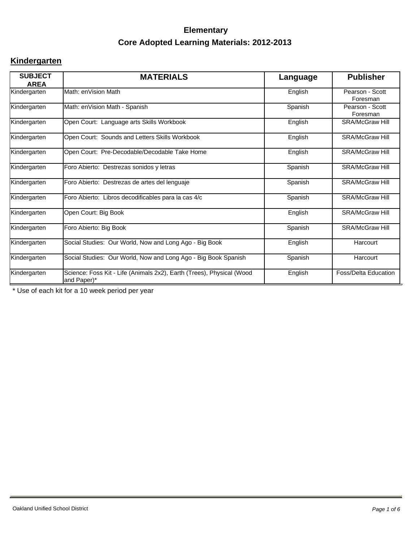#### **Kindergarten**

| <b>SUBJECT</b><br><b>AREA</b> | <b>MATERIALS</b>                                                                     | Language | <b>Publisher</b>            |
|-------------------------------|--------------------------------------------------------------------------------------|----------|-----------------------------|
| Kindergarten                  | Math: enVision Math                                                                  | English  | Pearson - Scott<br>Foresman |
| Kindergarten                  | Math: enVision Math - Spanish                                                        | Spanish  | Pearson - Scott<br>Foresman |
| Kindergarten                  | Open Court: Language arts Skills Workbook                                            | English  | <b>SRA/McGraw Hill</b>      |
| Kindergarten                  | Open Court: Sounds and Letters Skills Workbook                                       | English  | <b>SRA/McGraw Hill</b>      |
| Kindergarten                  | Open Court: Pre-Decodable/Decodable Take Home                                        | English  | <b>SRA/McGraw Hill</b>      |
| Kindergarten                  | Foro Abierto: Destrezas sonidos y letras                                             | Spanish  | <b>SRA/McGraw Hill</b>      |
| Kindergarten                  | Foro Abierto: Destrezas de artes del lenguaje                                        | Spanish  | <b>SRA/McGraw Hill</b>      |
| Kindergarten                  | Foro Abierto: Libros decodificables para la cas 4/c                                  | Spanish  | <b>SRA/McGraw Hill</b>      |
| Kindergarten                  | Open Court: Big Book                                                                 | English  | <b>SRA/McGraw Hill</b>      |
| Kindergarten                  | Foro Abierto: Big Book                                                               | Spanish  | <b>SRA/McGraw Hill</b>      |
| Kindergarten                  | Social Studies: Our World, Now and Long Ago - Big Book                               | English  | Harcourt                    |
| Kindergarten                  | Social Studies: Our World, Now and Long Ago - Big Book Spanish                       | Spanish  | Harcourt                    |
| Kindergarten                  | Science: Foss Kit - Life (Animals 2x2), Earth (Trees), Physical (Wood<br>and Paper)* | English  | <b>Foss/Delta Education</b> |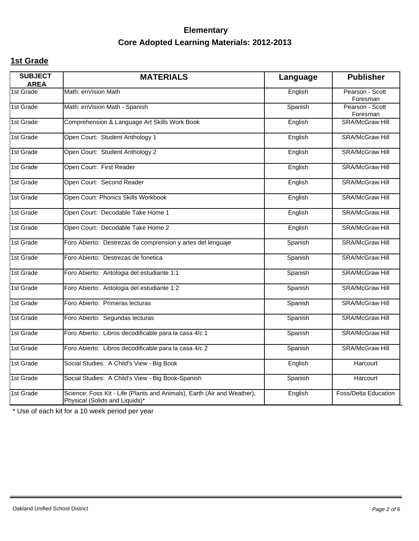### **1st Grade**

| <b>SUBJECT</b><br><b>AREA</b> | <b>MATERIALS</b>                                                                                          | Language | <b>Publisher</b>            |
|-------------------------------|-----------------------------------------------------------------------------------------------------------|----------|-----------------------------|
| 1st Grade                     | Math: enVision Math                                                                                       | English  | Pearson - Scott<br>Foresman |
| 1st Grade                     | Math: enVision Math - Spanish                                                                             | Spanish  | Pearson - Scott<br>Foresman |
| 1st Grade                     | Comprehension & Language Art Skills Work Book                                                             | English  | <b>SRA/McGraw Hill</b>      |
| 1st Grade                     | Open Court: Student Anthology 1                                                                           | English  | <b>SRA/McGraw Hill</b>      |
| 1st Grade                     | Open Court: Student Anthology 2                                                                           | English  | SRA/McGraw Hill             |
| 1st Grade                     | Open Court: First Reader                                                                                  | English  | <b>SRA/McGraw Hill</b>      |
| 1st Grade                     | Open Court: Second Reader                                                                                 | English  | <b>SRA/McGraw Hill</b>      |
| 1st Grade                     | Open Court: Phonics Skills Workbook                                                                       | English  | <b>SRA/McGraw Hill</b>      |
| 1st Grade                     | Open Court: Decodable Take Home 1                                                                         | English  | <b>SRA/McGraw Hill</b>      |
| 1st Grade                     | Open Court: Decodable Take Home 2                                                                         | English  | <b>SRA/McGraw Hill</b>      |
| 1st Grade                     | Foro Abierto: Destrezas de comprension y artes del lenguaje                                               | Spanish  | <b>SRA/McGraw Hill</b>      |
| 1st Grade                     | Foro Abierto: Destrezas de fonetica                                                                       | Spanish  | <b>SRA/McGraw Hill</b>      |
| 1st Grade                     | Foro Abierto: Antologia del estudiante 1:1                                                                | Spanish  | <b>SRA/McGraw Hill</b>      |
| 1st Grade                     | Foro Abierto: Antologia del estudiante 1:2                                                                | Spanish  | <b>SRA/McGraw Hill</b>      |
| 1st Grade                     | Foro Abierto: Primeras lecturas                                                                           | Spanish  | <b>SRA/McGraw Hill</b>      |
| 1st Grade                     | Foro Abierto: Segundas lecturas                                                                           | Spanish  | <b>SRA/McGraw Hill</b>      |
| 1st Grade                     | Foro Abierto: Libros decodificable para la casa 4/c 1                                                     | Spanish  | <b>SRA/McGraw Hill</b>      |
| 1st Grade                     | Foro Abierto: Libros decodificable para la casa 4/c 2                                                     | Spanish  | <b>SRA/McGraw Hill</b>      |
| 1st Grade                     | Social Studies: A Child's View - Big Book                                                                 | English  | Harcourt                    |
| 1st Grade                     | Social Studies: A Child's View - Big Book-Spanish                                                         | Spanish  | Harcourt                    |
| 1st Grade                     | Science: Foss Kit - Life (Plants and Animals), Earth (Air and Weather),<br>Physical (Solids and Liquids)* | English  | <b>Foss/Delta Education</b> |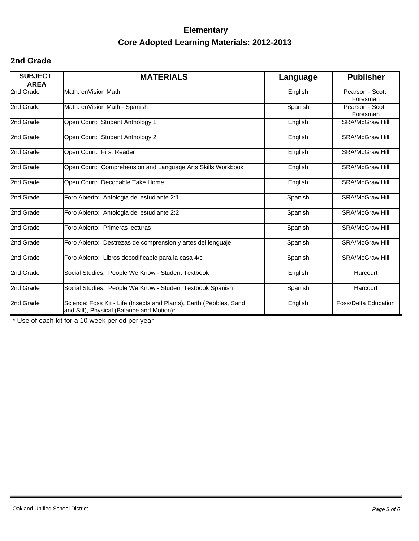### **2nd Grade**

| <b>SUBJECT</b><br><b>AREA</b> | <b>MATERIALS</b>                                                                                                  | Language | <b>Publisher</b>            |
|-------------------------------|-------------------------------------------------------------------------------------------------------------------|----------|-----------------------------|
| 2nd Grade                     | Math: enVision Math                                                                                               | English  | Pearson - Scott<br>Foresman |
| 2nd Grade                     | Math: enVision Math - Spanish                                                                                     | Spanish  | Pearson - Scott<br>Foresman |
| 2nd Grade                     | Open Court: Student Anthology 1                                                                                   | English  | <b>SRA/McGraw Hill</b>      |
| 2nd Grade                     | Open Court: Student Anthology 2                                                                                   | English  | <b>SRA/McGraw Hill</b>      |
| 2nd Grade                     | Open Court: First Reader                                                                                          | English  | <b>SRA/McGraw Hill</b>      |
| 2nd Grade                     | Open Court: Comprehension and Language Arts Skills Workbook                                                       | English  | <b>SRA/McGraw Hill</b>      |
| 2nd Grade                     | Open Court: Decodable Take Home                                                                                   | English  | <b>SRA/McGraw Hill</b>      |
| 2nd Grade                     | Foro Abierto: Antologia del estudiante 2:1                                                                        | Spanish  | <b>SRA/McGraw Hill</b>      |
| 2nd Grade                     | Foro Abierto: Antologia del estudiante 2:2                                                                        | Spanish  | <b>SRA/McGraw Hill</b>      |
| 2nd Grade                     | Foro Abierto: Primeras lecturas                                                                                   | Spanish  | <b>SRA/McGraw Hill</b>      |
| 2nd Grade                     | Foro Abierto: Destrezas de comprension y artes del lenguaje                                                       | Spanish  | <b>SRA/McGraw Hill</b>      |
| 2nd Grade                     | Foro Abierto: Libros decodificable para la casa 4/c                                                               | Spanish  | <b>SRA/McGraw Hill</b>      |
| 2nd Grade                     | Social Studies: People We Know - Student Textbook                                                                 | English  | Harcourt                    |
| 2nd Grade                     | Social Studies: People We Know - Student Textbook Spanish                                                         | Spanish  | Harcourt                    |
| 2nd Grade                     | Science: Foss Kit - Life (Insects and Plants), Earth (Pebbles, Sand,<br>and Silt), Physical (Balance and Motion)* | English  | <b>Foss/Delta Education</b> |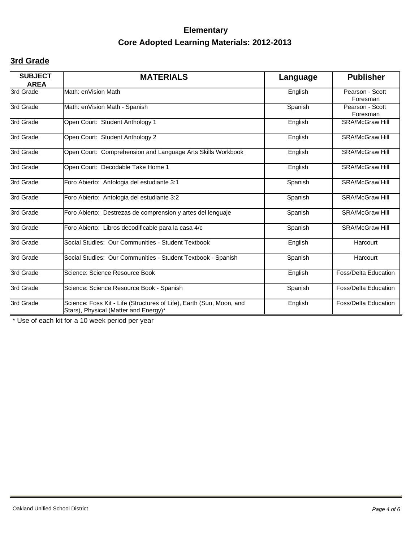### **3rd Grade**

| <b>SUBJECT</b><br><b>AREA</b> | <b>MATERIALS</b>                                                                                              | Language | <b>Publisher</b>            |
|-------------------------------|---------------------------------------------------------------------------------------------------------------|----------|-----------------------------|
| 3rd Grade                     | Math: enVision Math                                                                                           | English  | Pearson - Scott<br>Foresman |
| 3rd Grade                     | Math: enVision Math - Spanish                                                                                 | Spanish  | Pearson - Scott<br>Foresman |
| 3rd Grade                     | Open Court: Student Anthology 1                                                                               | English  | <b>SRA/McGraw Hill</b>      |
| 3rd Grade                     | Open Court: Student Anthology 2                                                                               | English  | <b>SRA/McGraw Hill</b>      |
| 3rd Grade                     | Open Court: Comprehension and Language Arts Skills Workbook                                                   | English  | <b>SRA/McGraw Hill</b>      |
| 3rd Grade                     | Open Court: Decodable Take Home 1                                                                             | English  | <b>SRA/McGraw Hill</b>      |
| 3rd Grade                     | Foro Abierto: Antologia del estudiante 3:1                                                                    | Spanish  | <b>SRA/McGraw Hill</b>      |
| 3rd Grade                     | Foro Abierto: Antologia del estudiante 3:2                                                                    | Spanish  | <b>SRA/McGraw Hill</b>      |
| 3rd Grade                     | Foro Abierto: Destrezas de comprension y artes del lenguaje                                                   | Spanish  | <b>SRA/McGraw Hill</b>      |
| 3rd Grade                     | Foro Abierto: Libros decodificable para la casa 4/c                                                           | Spanish  | <b>SRA/McGraw Hill</b>      |
| 3rd Grade                     | Social Studies: Our Communities - Student Textbook                                                            | English  | Harcourt                    |
| 3rd Grade                     | Social Studies: Our Communities - Student Textbook - Spanish                                                  | Spanish  | Harcourt                    |
| 3rd Grade                     | Science: Science Resource Book                                                                                | English  | <b>Foss/Delta Education</b> |
| 3rd Grade                     | Science: Science Resource Book - Spanish                                                                      | Spanish  | <b>Foss/Delta Education</b> |
| 3rd Grade                     | Science: Foss Kit - Life (Structures of Life), Earth (Sun, Moon, and<br>Stars), Physical (Matter and Energy)* | English  | <b>Foss/Delta Education</b> |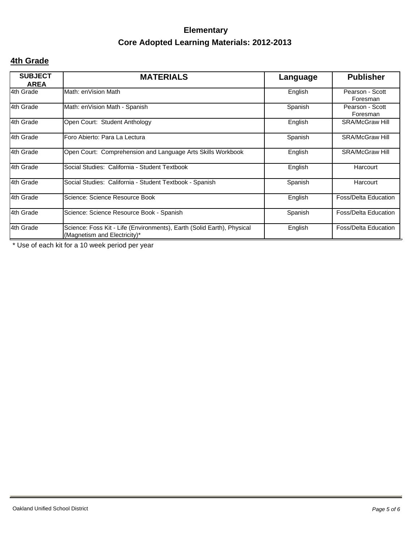### **4th Grade**

| <b>SUBJECT</b><br><b>AREA</b> | <b>MATERIALS</b>                                                                                       | Language | <b>Publisher</b>            |
|-------------------------------|--------------------------------------------------------------------------------------------------------|----------|-----------------------------|
| 4th Grade                     | Math: enVision Math                                                                                    | English  | Pearson - Scott<br>Foresman |
| 4th Grade                     | Math: enVision Math - Spanish                                                                          | Spanish  | Pearson - Scott<br>Foresman |
| 4th Grade                     | Open Court: Student Anthology                                                                          | English  | <b>SRA/McGraw Hill</b>      |
| 4th Grade                     | Foro Abierto: Para La Lectura                                                                          | Spanish  | <b>SRA/McGraw Hill</b>      |
| 4th Grade                     | Open Court: Comprehension and Language Arts Skills Workbook                                            | English  | <b>SRA/McGraw Hill</b>      |
| 4th Grade                     | Social Studies: California - Student Textbook                                                          | English  | Harcourt                    |
| 4th Grade                     | Social Studies: California - Student Textbook - Spanish                                                | Spanish  | Harcourt                    |
| 4th Grade                     | Science: Science Resource Book                                                                         | English  | <b>Foss/Delta Education</b> |
| 4th Grade                     | Science: Science Resource Book - Spanish                                                               | Spanish  | <b>Foss/Delta Education</b> |
| 4th Grade                     | Science: Foss Kit - Life (Environments), Earth (Solid Earth), Physical<br>(Magnetism and Electricity)* | English  | Foss/Delta Education        |